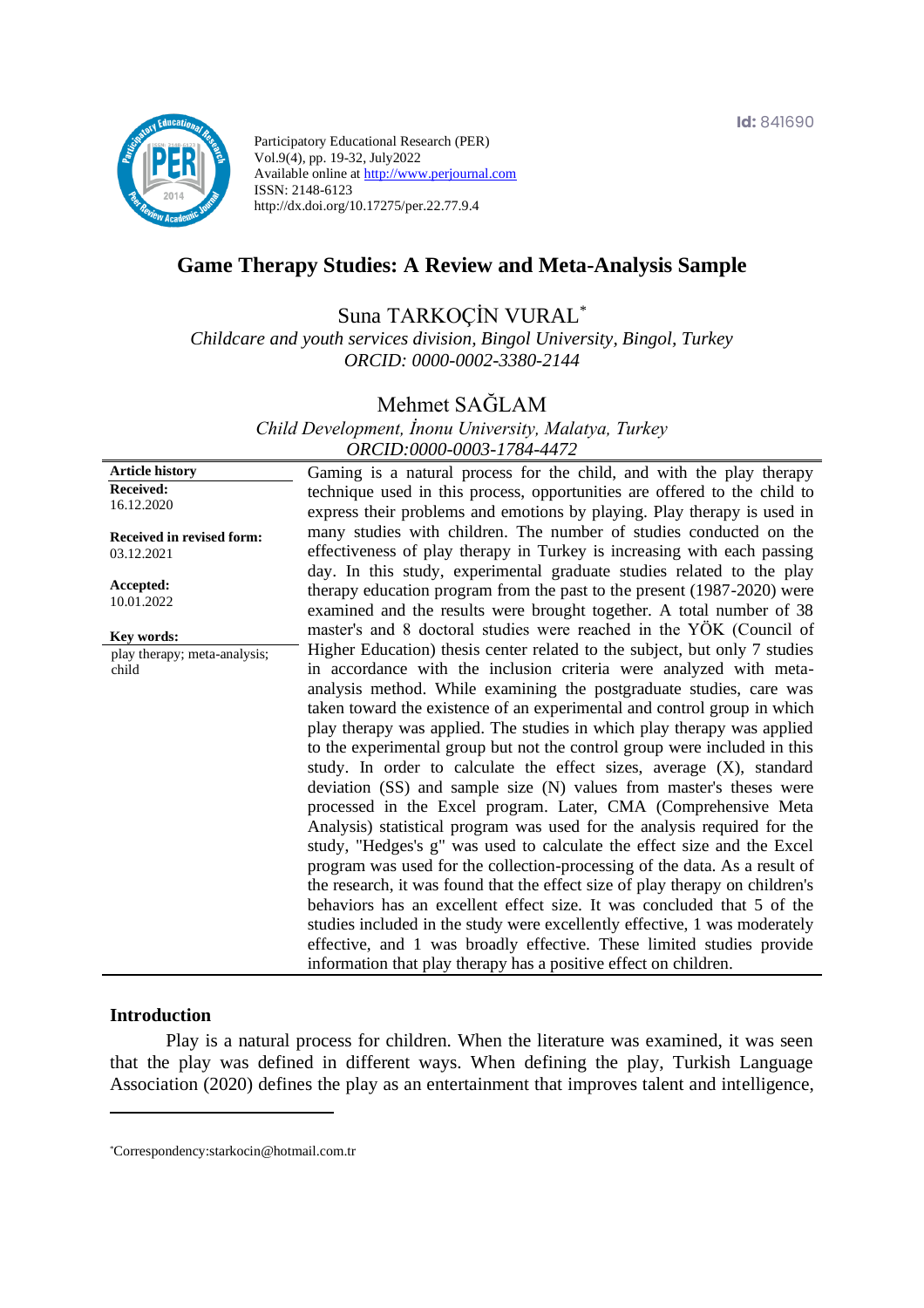

Participatory Educational Research (PER) Vol.9(4), pp. 19-32, July2022 Available online at http://www.perjournal.com ISSN: 2148-6123 http://dx.doi.org/10.17275/per.22.77.9.4

# **Game Therapy Studies: A Review and Meta-Analysis Sample**

# Suna TARKOÇİN VURAL\*

*Childcare and youth services division, Bingol University, Bingol, Turkey ORCID: 0000-0002-3380-2144*

# Mehmet SAĞLAM

*Child Development, İnonu University, Malatya, Turkey ORCID:0000-0003-1784-4472*

**Article history Received:**  16.12.2020 **Received in revised form:**  03.12.2021 **Accepted:** 10.01.2022 Gaming is a natural process for the child, and with the play therapy technique used in this process, opportunities are offered to the child to express their problems and emotions by playing. Play therapy is used in many studies with children. The number of studies conducted on the effectiveness of play therapy in Turkey is increasing with each passing day. In this study, experimental graduate studies related to the play therapy education program from the past to the present (1987-2020) were examined and the results were brought together. A total number of 38 master's and 8 doctoral studies were reached in the YÖK (Council of Higher Education) thesis center related to the subject, but only 7 studies in accordance with the inclusion criteria were analyzed with metaanalysis method. While examining the postgraduate studies, care was taken toward the existence of an experimental and control group in which play therapy was applied. The studies in which play therapy was applied to the experimental group but not the control group were included in this study. In order to calculate the effect sizes, average (X), standard deviation (SS) and sample size (N) values from master's theses were processed in the Excel program. Later, CMA (Comprehensive Meta Analysis) statistical program was used for the analysis required for the study, "Hedges's g" was used to calculate the effect size and the Excel program was used for the collection-processing of the data. As a result of the research, it was found that the effect size of play therapy on children's behaviors has an excellent effect size. It was concluded that 5 of the studies included in the study were excellently effective, 1 was moderately effective, and 1 was broadly effective. These limited studies provide information that play therapy has a positive effect on children. **Key words:** play therapy; meta-analysis; child

#### **Introduction**

Play is a natural process for children. When the literature was examined, it was seen that the play was defined in different ways. When defining the play, Turkish Language Association (2020) defines the play as an entertainment that improves talent and intelligence,

<sup>\*</sup>[Correspondency:s](mailto:Correspondency:)tarkocin@hotmail.com.tr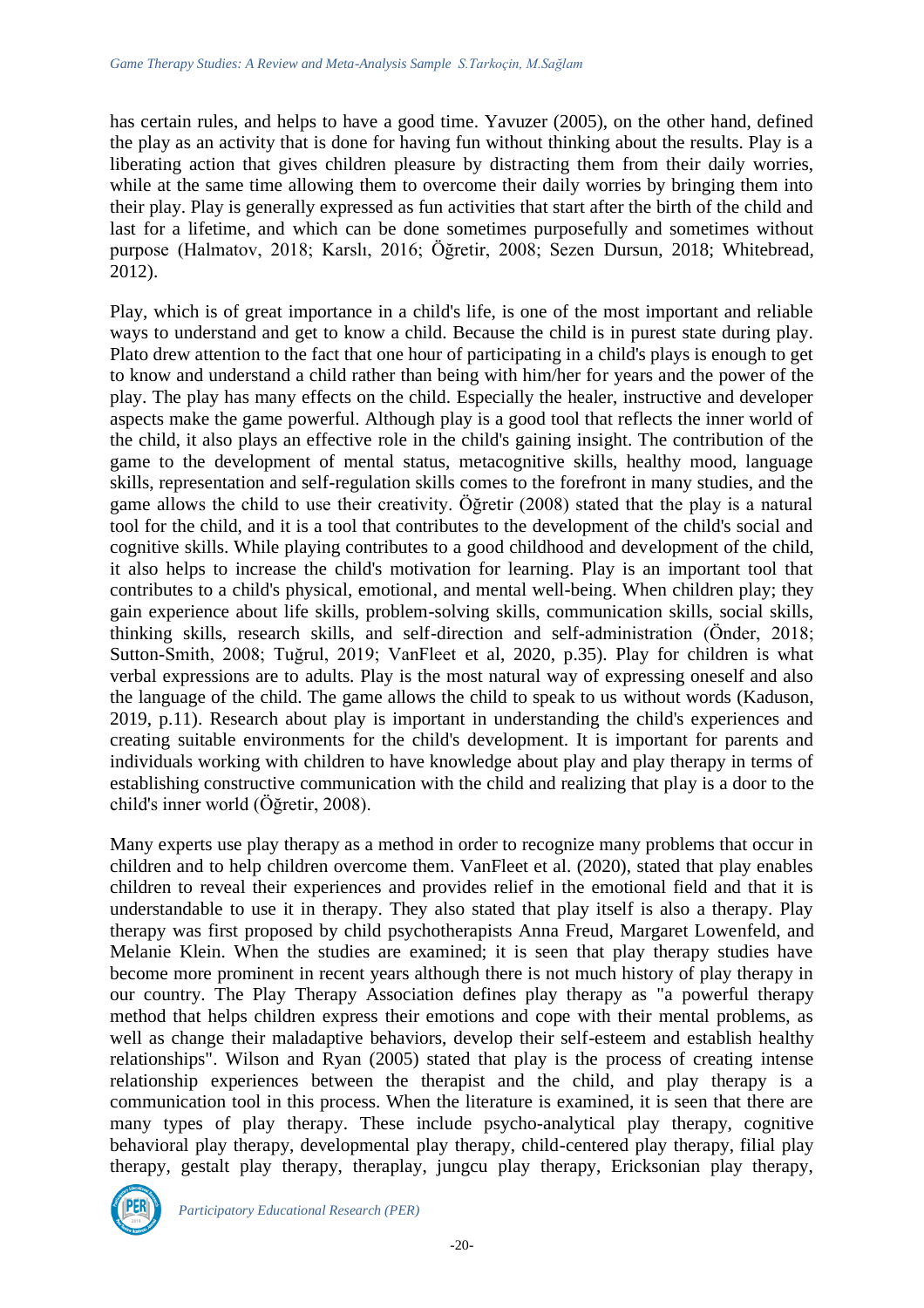has certain rules, and helps to have a good time. Yavuzer (2005), on the other hand, defined the play as an activity that is done for having fun without thinking about the results. Play is a liberating action that gives children pleasure by distracting them from their daily worries, while at the same time allowing them to overcome their daily worries by bringing them into their play. Play is generally expressed as fun activities that start after the birth of the child and last for a lifetime, and which can be done sometimes purposefully and sometimes without purpose (Halmatov, 2018; Karslı, 2016; Öğretir, 2008; Sezen Dursun, 2018; Whitebread, 2012).

Play, which is of great importance in a child's life, is one of the most important and reliable ways to understand and get to know a child. Because the child is in purest state during play. Plato drew attention to the fact that one hour of participating in a child's plays is enough to get to know and understand a child rather than being with him/her for years and the power of the play. The play has many effects on the child. Especially the healer, instructive and developer aspects make the game powerful. Although play is a good tool that reflects the inner world of the child, it also plays an effective role in the child's gaining insight. The contribution of the game to the development of mental status, metacognitive skills, healthy mood, language skills, representation and self-regulation skills comes to the forefront in many studies, and the game allows the child to use their creativity. Öğretir (2008) stated that the play is a natural tool for the child, and it is a tool that contributes to the development of the child's social and cognitive skills. While playing contributes to a good childhood and development of the child, it also helps to increase the child's motivation for learning. Play is an important tool that contributes to a child's physical, emotional, and mental well-being. When children play; they gain experience about life skills, problem-solving skills, communication skills, social skills, thinking skills, research skills, and self-direction and self-administration (Önder, 2018; Sutton-Smith, 2008; Tuğrul, 2019; VanFleet et al, 2020, p.35). Play for children is what verbal expressions are to adults. Play is the most natural way of expressing oneself and also the language of the child. The game allows the child to speak to us without words (Kaduson, 2019, p.11). Research about play is important in understanding the child's experiences and creating suitable environments for the child's development. It is important for parents and individuals working with children to have knowledge about play and play therapy in terms of establishing constructive communication with the child and realizing that play is a door to the child's inner world (Öğretir, 2008).

Many experts use play therapy as a method in order to recognize many problems that occur in children and to help children overcome them. VanFleet et al. (2020), stated that play enables children to reveal their experiences and provides relief in the emotional field and that it is understandable to use it in therapy. They also stated that play itself is also a therapy. Play therapy was first proposed by child psychotherapists Anna Freud, Margaret Lowenfeld, and Melanie Klein. When the studies are examined; it is seen that play therapy studies have become more prominent in recent years although there is not much history of play therapy in our country. The Play Therapy Association defines play therapy as "a powerful therapy method that helps children express their emotions and cope with their mental problems, as well as change their maladaptive behaviors, develop their self-esteem and establish healthy relationships". Wilson and Ryan (2005) stated that play is the process of creating intense relationship experiences between the therapist and the child, and play therapy is a communication tool in this process. When the literature is examined, it is seen that there are many types of play therapy. These include psycho-analytical play therapy, cognitive behavioral play therapy, developmental play therapy, child-centered play therapy, filial play therapy, gestalt play therapy, theraplay, jungcu play therapy, Ericksonian play therapy,

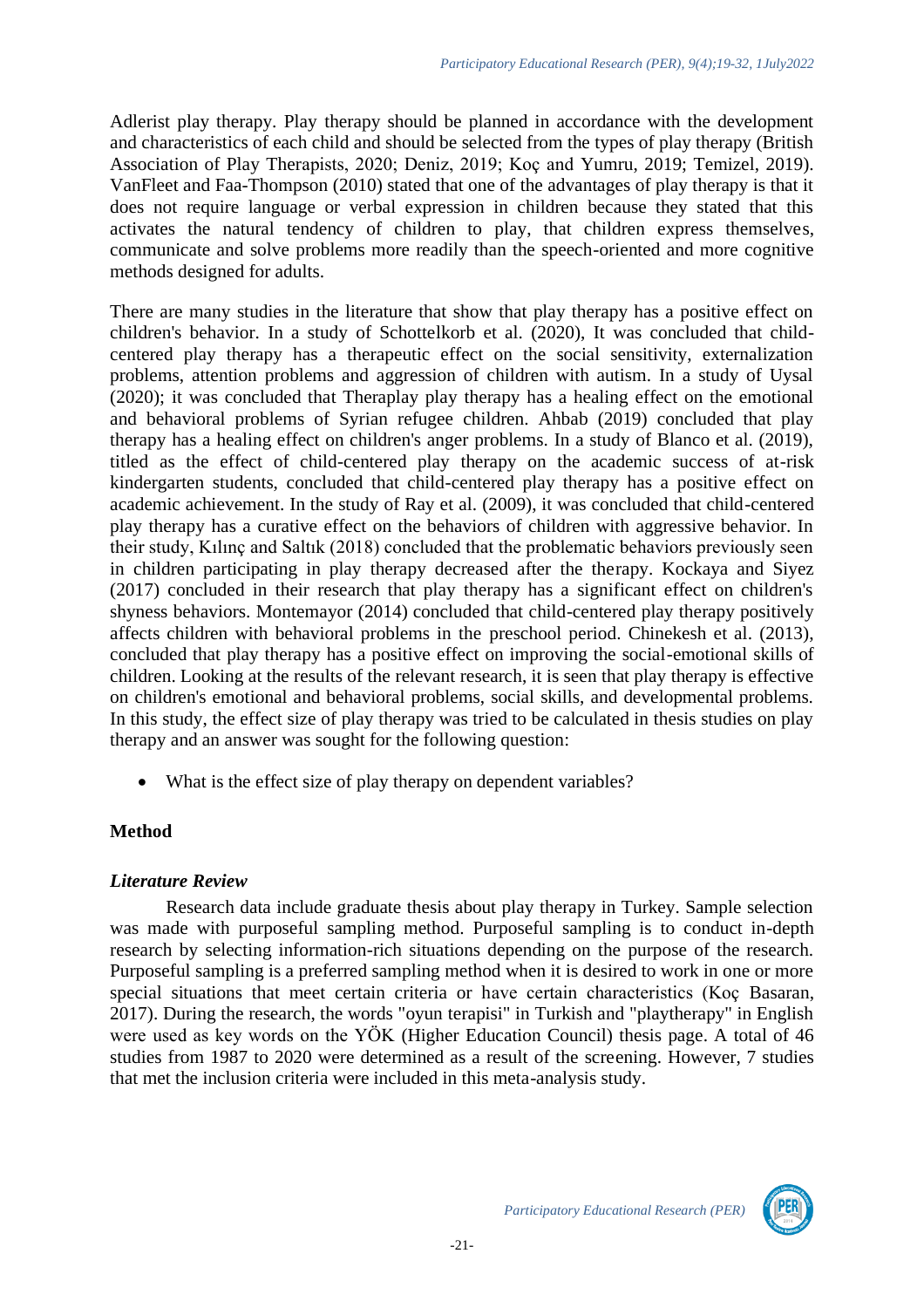Adlerist play therapy. Play therapy should be planned in accordance with the development and characteristics of each child and should be selected from the types of play therapy (British Association of Play Therapists, 2020; Deniz, 2019; Koç and Yumru, 2019; Temizel, 2019). VanFleet and Faa-Thompson (2010) stated that one of the advantages of play therapy is that it does not require language or verbal expression in children because they stated that this activates the natural tendency of children to play, that children express themselves, communicate and solve problems more readily than the speech-oriented and more cognitive methods designed for adults.

There are many studies in the literature that show that play therapy has a positive effect on children's behavior. In a study of Schottelkorb et al. (2020), It was concluded that childcentered play therapy has a therapeutic effect on the social sensitivity, externalization problems, attention problems and aggression of children with autism. In a study of Uysal (2020); it was concluded that Theraplay play therapy has a healing effect on the emotional and behavioral problems of Syrian refugee children. Ahbab (2019) concluded that play therapy has a healing effect on children's anger problems. In a study of Blanco et al. (2019), titled as the effect of child-centered play therapy on the academic success of at-risk kindergarten students, concluded that child-centered play therapy has a positive effect on academic achievement. In the study of Ray et al. (2009), it was concluded that child-centered play therapy has a curative effect on the behaviors of children with aggressive behavior. In their study, Kılınç and Saltık (2018) concluded that the problematic behaviors previously seen in children participating in play therapy decreased after the therapy. Kockaya and Siyez (2017) concluded in their research that play therapy has a significant effect on children's shyness behaviors. Montemayor (2014) concluded that child-centered play therapy positively affects children with behavioral problems in the preschool period. Chinekesh et al. (2013), concluded that play therapy has a positive effect on improving the social-emotional skills of children. Looking at the results of the relevant research, it is seen that play therapy is effective on children's emotional and behavioral problems, social skills, and developmental problems. In this study, the effect size of play therapy was tried to be calculated in thesis studies on play therapy and an answer was sought for the following question:

• What is the effect size of play therapy on dependent variables?

# **Method**

### *Literature Review*

Research data include graduate thesis about play therapy in Turkey. Sample selection was made with purposeful sampling method. Purposeful sampling is to conduct in-depth research by selecting information-rich situations depending on the purpose of the research. Purposeful sampling is a preferred sampling method when it is desired to work in one or more special situations that meet certain criteria or have certain characteristics (Koç Basaran, 2017). During the research, the words "oyun terapisi" in Turkish and "playtherapy" in English were used as key words on the YÖK (Higher Education Council) thesis page. A total of 46 studies from 1987 to 2020 were determined as a result of the screening. However, 7 studies that met the inclusion criteria were included in this meta-analysis study.

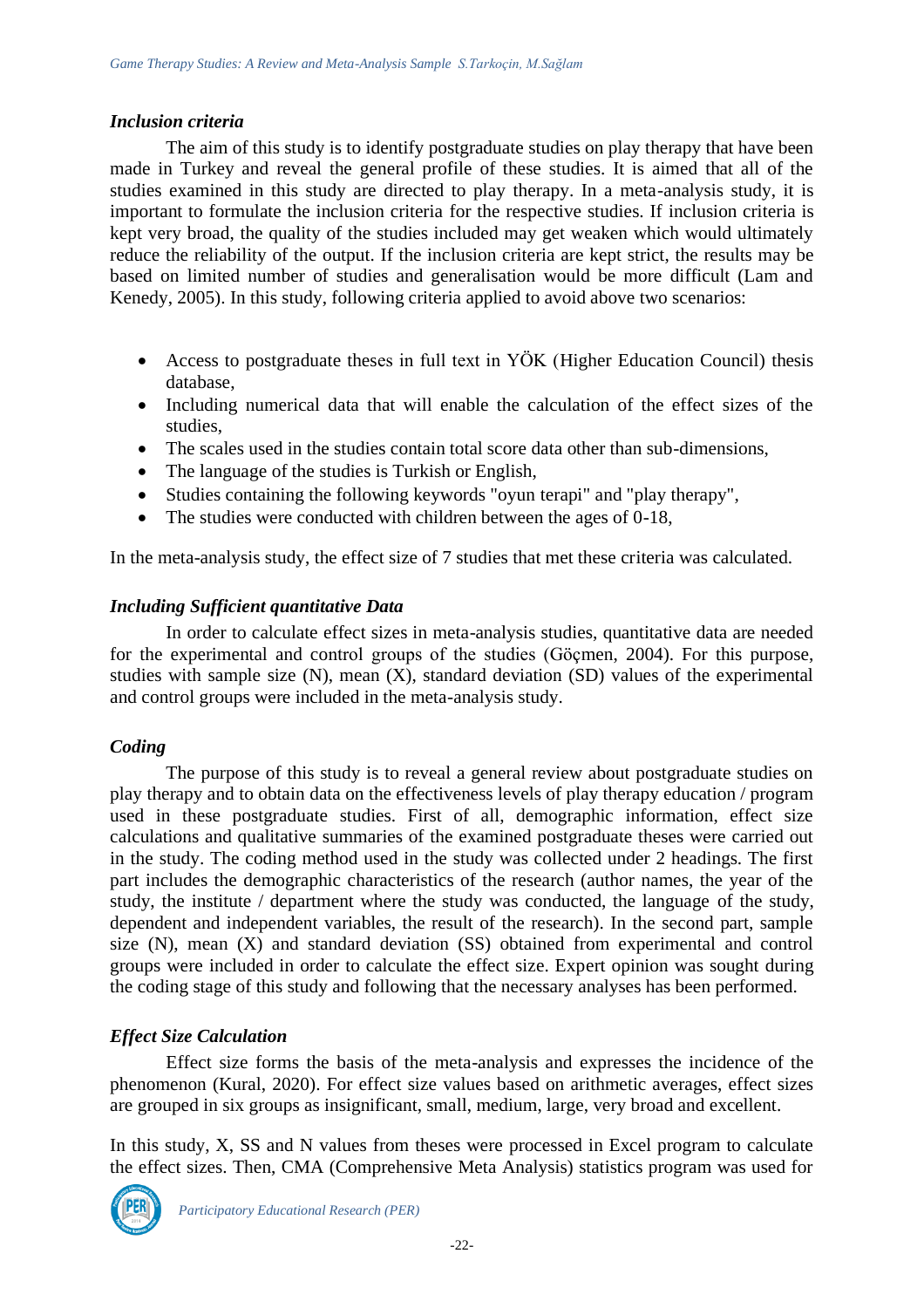# *Inclusion criteria*

The aim of this study is to identify postgraduate studies on play therapy that have been made in Turkey and reveal the general profile of these studies. It is aimed that all of the studies examined in this study are directed to play therapy. In a meta-analysis study, it is important to formulate the inclusion criteria for the respective studies. If inclusion criteria is kept very broad, the quality of the studies included may get weaken which would ultimately reduce the reliability of the output. If the inclusion criteria are kept strict, the results may be based on limited number of studies and generalisation would be more difficult (Lam and Kenedy, 2005). In this study, following criteria applied to avoid above two scenarios:

- Access to postgraduate theses in full text in YÖK (Higher Education Council) thesis database,
- Including numerical data that will enable the calculation of the effect sizes of the studies,
- The scales used in the studies contain total score data other than sub-dimensions,
- The language of the studies is Turkish or English,
- Studies containing the following keywords "oyun terapi" and "play therapy",
- The studies were conducted with children between the ages of 0-18,

In the meta-analysis study, the effect size of 7 studies that met these criteria was calculated.

# *Including Sufficient quantitative Data*

In order to calculate effect sizes in meta-analysis studies, quantitative data are needed for the experimental and control groups of the studies (Göçmen, 2004). For this purpose, studies with sample size  $(N)$ , mean  $(X)$ , standard deviation  $(SD)$  values of the experimental and control groups were included in the meta-analysis study.

# *Coding*

The purpose of this study is to reveal a general review about postgraduate studies on play therapy and to obtain data on the effectiveness levels of play therapy education / program used in these postgraduate studies. First of all, demographic information, effect size calculations and qualitative summaries of the examined postgraduate theses were carried out in the study. The coding method used in the study was collected under 2 headings. The first part includes the demographic characteristics of the research (author names, the year of the study, the institute / department where the study was conducted, the language of the study, dependent and independent variables, the result of the research). In the second part, sample size (N), mean (X) and standard deviation (SS) obtained from experimental and control groups were included in order to calculate the effect size. Expert opinion was sought during the coding stage of this study and following that the necessary analyses has been performed.

# *Effect Size Calculation*

Effect size forms the basis of the meta-analysis and expresses the incidence of the phenomenon (Kural, 2020). For effect size values based on arithmetic averages, effect sizes are grouped in six groups as insignificant, small, medium, large, very broad and excellent.

In this study, X, SS and N values from theses were processed in Excel program to calculate the effect sizes. Then, CMA (Comprehensive Meta Analysis) statistics program was used for

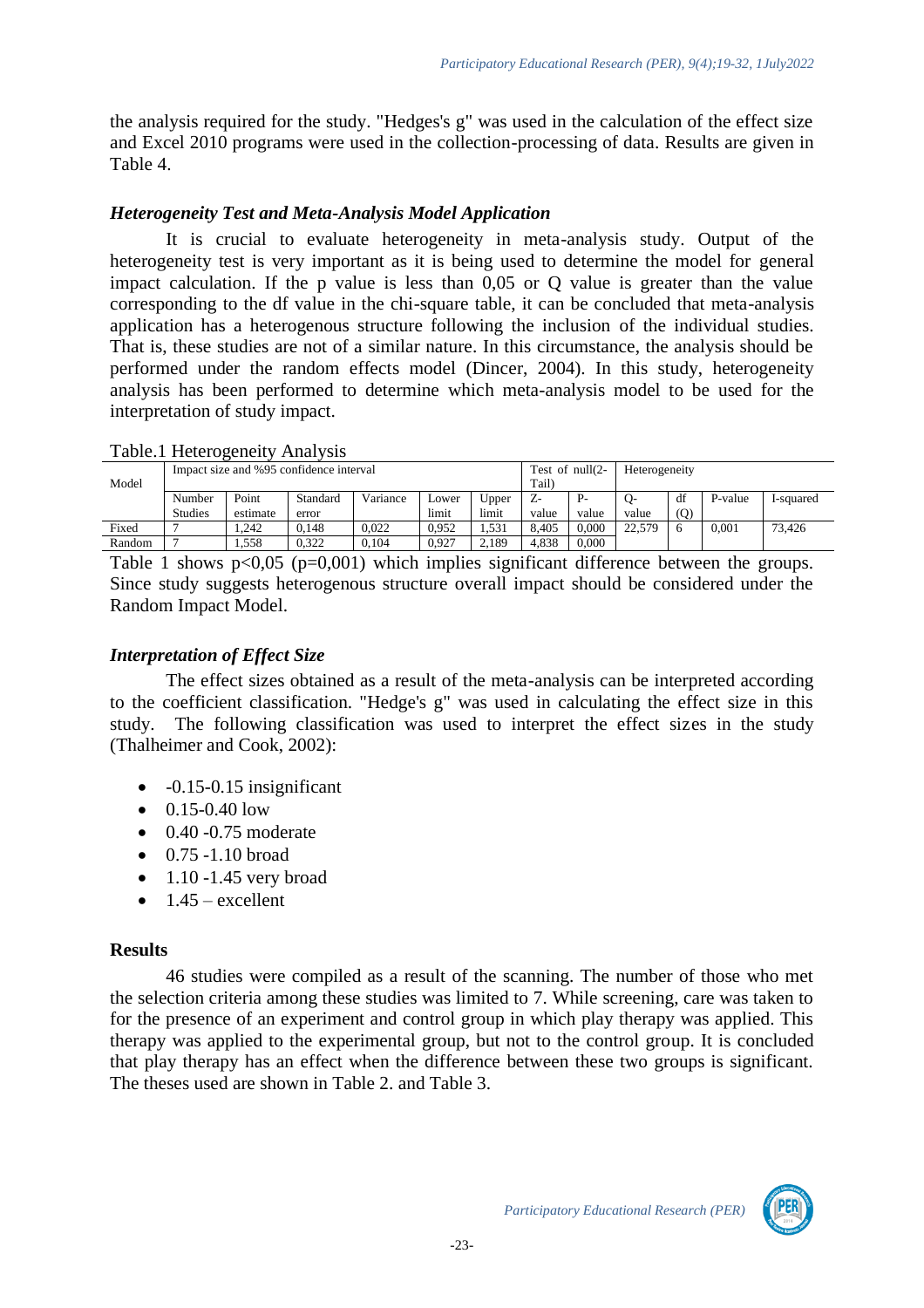the analysis required for the study. "Hedges's g" was used in the calculation of the effect size and Excel 2010 programs were used in the collection-processing of data. Results are given in Table 4.

### *Heterogeneity Test and Meta-Analysis Model Application*

It is crucial to evaluate heterogeneity in meta-analysis study. Output of the heterogeneity test is very important as it is being used to determine the model for general impact calculation. If the p value is less than 0,05 or Q value is greater than the value corresponding to the df value in the chi-square table, it can be concluded that meta-analysis application has a heterogenous structure following the inclusion of the individual studies. That is, these studies are not of a similar nature. In this circumstance, the analysis should be performed under the random effects model (Dincer, 2004). In this study, heterogeneity analysis has been performed to determine which meta-analysis model to be used for the interpretation of study impact.

|          | Impact size and %95 confidence interval |          |          |          |       |               |                | Test of $null(2-)$ | Heterogeneity |     |           |           |
|----------|-----------------------------------------|----------|----------|----------|-------|---------------|----------------|--------------------|---------------|-----|-----------|-----------|
| Model    |                                         |          |          |          |       |               | Tail           |                    |               |     |           |           |
|          | Number                                  | Point    | Standard | Variance | ∟ower | <b>U</b> pper | Ŀ              |                    | O-            | df  | P-value   | 1-squared |
|          | Studies                                 | estimate | error    |          | limit | limit         | value          | value              | value         | (Q) |           |           |
| Fixed    |                                         | 1.242    | 0.148    | 0.022    | 0.952 | 1.531         | 8.405          | $0.000\,$          | 22,579        |     | 0.001     | 73.426    |
| Random   | -                                       | 1.558    | 0.322    | 0.104    | 0.927 | 2.189         | 4.838          | 0.000              |               |     |           |           |
| $T = 11$ |                                         | $\Omega$ | 0.001    |          |       |               | $\cdot$ $\sim$ | 1.00               |               |     | $\cdot$ 1 |           |

Table.1 Heterogeneity Analysis

Table 1 shows  $p<0.05$  ( $p=0.001$ ) which implies significant difference between the groups. Since study suggests heterogenous structure overall impact should be considered under the Random Impact Model.

### *Interpretation of Effect Size*

The effect sizes obtained as a result of the meta-analysis can be interpreted according to the coefficient classification. "Hedge's g" was used in calculating the effect size in this study. The following classification was used to interpret the effect sizes in the study (Thalheimer and Cook, 2002):

- $-0.15-0.15$  insignificant
- $\bullet$  0.15-0.40 low
- $\bullet$  0.40 -0.75 moderate
- $\bullet$  0.75 -1.10 broad
- $\bullet$  1.10 -1.45 very broad
- $\bullet$  1.45 excellent

### **Results**

46 studies were compiled as a result of the scanning. The number of those who met the selection criteria among these studies was limited to 7. While screening, care was taken to for the presence of an experiment and control group in which play therapy was applied. This therapy was applied to the experimental group, but not to the control group. It is concluded that play therapy has an effect when the difference between these two groups is significant. The theses used are shown in Table 2. and Table 3.

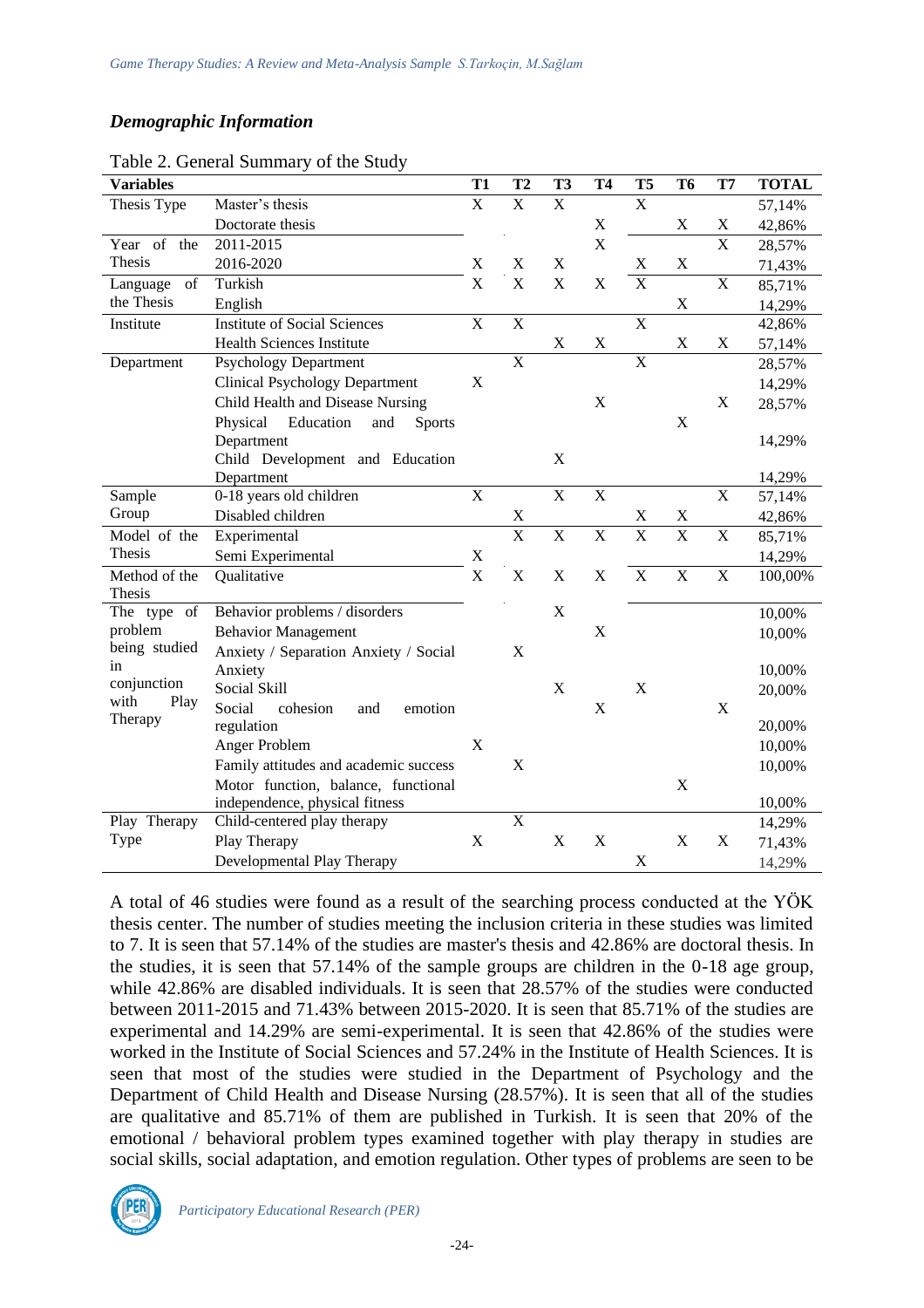# *Demographic Information*

| <b>Variables</b>                                                                                               |                                                  | <b>T1</b>               | T <sub>2</sub>               | <b>T3</b>               | <b>T4</b>               | T <sub>5</sub>          | T <sub>6</sub>          | T7                      | <b>TOTAL</b> |
|----------------------------------------------------------------------------------------------------------------|--------------------------------------------------|-------------------------|------------------------------|-------------------------|-------------------------|-------------------------|-------------------------|-------------------------|--------------|
| Thesis Type                                                                                                    | Master's thesis                                  | $\mathbf X$             | $\mathbf X$                  | $\mathbf X$             |                         | $\mathbf X$             |                         |                         | 57,14%       |
|                                                                                                                | Doctorate thesis                                 |                         |                              |                         | X                       |                         | X                       | X                       | 42,86%       |
| Year of the                                                                                                    | 2011-2015                                        |                         |                              |                         | $\overline{\mathrm{X}}$ |                         |                         | $\overline{\text{X}}$   | 28,57%       |
| Thesis                                                                                                         | 2016-2020                                        | X                       | X                            | $\mathbf X$             |                         | $\mathbf X$             | $\mathbf X$             |                         | 71,43%       |
| $% \left( \left( \mathcal{A},\mathcal{A}\right) \right) =\left( \mathcal{A},\mathcal{A}\right)$ of<br>Language | Turkish                                          | $\overline{\mathbf{X}}$ | $\overline{X}$               | $\overline{\mathbf{X}}$ | $\overline{\text{X}}$   | $\overline{\mathbf{X}}$ |                         | $\overline{\mathrm{X}}$ | 85,71%       |
| the Thesis                                                                                                     | English                                          |                         |                              |                         |                         |                         | $\mathbf X$             |                         | 14,29%       |
| Institute                                                                                                      | <b>Institute of Social Sciences</b>              | $\mathbf X$             | $\boldsymbol{\mathrm{X}}$    |                         |                         | $\overline{\mathbf{X}}$ |                         |                         | 42,86%       |
|                                                                                                                | <b>Health Sciences Institute</b>                 |                         |                              | $\mathbf X$             | $\mathbf X$             |                         | $\mathbf X$             | $\mathbf X$             | 57,14%       |
| Department                                                                                                     | <b>Psychology Department</b>                     |                         | $\mathbf X$                  |                         |                         | $\overline{X}$          |                         |                         | 28,57%       |
|                                                                                                                | <b>Clinical Psychology Department</b>            | $\mathbf X$             |                              |                         |                         |                         |                         |                         | 14,29%       |
|                                                                                                                | Child Health and Disease Nursing                 |                         |                              |                         | $\mathbf X$             |                         |                         | $\mathbf X$             | 28,57%       |
|                                                                                                                | Physical<br>Education<br>and<br><b>Sports</b>    |                         |                              |                         |                         |                         | $\mathbf X$             |                         |              |
|                                                                                                                | Department                                       |                         |                              |                         |                         |                         |                         |                         | 14,29%       |
|                                                                                                                | Child Development and Education                  |                         |                              | X                       |                         |                         |                         |                         |              |
|                                                                                                                | Department                                       |                         |                              |                         |                         |                         |                         |                         | 14,29%       |
| Sample                                                                                                         | 0-18 years old children                          | $\mathbf X$             |                              | $\overline{\mathbf{X}}$ | $\overline{\mathbf{X}}$ |                         |                         | $\mathbf X$             | 57,14%       |
| Group                                                                                                          | Disabled children                                |                         | X<br>$\overline{\mathbf{x}}$ | $\overline{\mathbf{X}}$ |                         | X<br>$\overline{X}$     | X                       |                         | 42,86%       |
| Model of the                                                                                                   | Experimental                                     |                         |                              |                         | $\overline{X}$          |                         | $\overline{X}$          | $\mathbf X$             | 85,71%       |
| <b>Thesis</b>                                                                                                  | Semi Experimental                                | $\mathbf X$             |                              |                         |                         |                         |                         |                         | 14,29%       |
| Method of the                                                                                                  | Qualitative                                      | $\overline{\mathbf{X}}$ | X                            | X                       | X                       | $\overline{X}$          | $\overline{\mathbf{X}}$ | X                       | 100,00%      |
| Thesis                                                                                                         |                                                  |                         |                              | X                       |                         |                         |                         |                         |              |
| The type of<br>problem                                                                                         | Behavior problems / disorders                    |                         |                              |                         | $\mathbf X$             |                         |                         |                         | 10,00%       |
| being studied                                                                                                  | <b>Behavior Management</b>                       |                         |                              |                         |                         |                         |                         |                         | 10,00%       |
| in                                                                                                             | Anxiety / Separation Anxiety / Social<br>Anxiety |                         | X                            |                         |                         |                         |                         |                         | 10,00%       |
| conjunction                                                                                                    | Social Skill                                     |                         |                              | $\mathbf X$             |                         | $\mathbf X$             |                         |                         |              |
| with<br>Play                                                                                                   | Social<br>cohesion<br>and<br>emotion             |                         |                              |                         | $\mathbf X$             |                         |                         | X                       | 20,00%       |
| Therapy                                                                                                        | regulation                                       |                         |                              |                         |                         |                         |                         |                         | 20,00%       |
|                                                                                                                | Anger Problem                                    | X                       |                              |                         |                         |                         |                         |                         | 10,00%       |
|                                                                                                                | Family attitudes and academic success            |                         | X                            |                         |                         |                         |                         |                         | 10,00%       |
|                                                                                                                | Motor function, balance, functional              |                         |                              |                         |                         |                         | $\mathbf X$             |                         |              |
|                                                                                                                | independence, physical fitness                   |                         |                              |                         |                         |                         |                         |                         | 10,00%       |
| Play Therapy                                                                                                   | Child-centered play therapy                      |                         | $\overline{\mathbf{X}}$      |                         |                         |                         |                         |                         | 14,29%       |
| Type                                                                                                           | Play Therapy                                     | $\mathbf X$             |                              | $\mathbf X$             | $\mathbf X$             |                         | $\mathbf X$             | $\mathbf X$             | 71,43%       |
|                                                                                                                | Developmental Play Therapy                       |                         |                              |                         |                         | X                       |                         |                         | 14,29%       |

Table 2. General Summary of the Study

A total of 46 studies were found as a result of the searching process conducted at the YÖK thesis center. The number of studies meeting the inclusion criteria in these studies was limited to 7. It is seen that 57.14% of the studies are master's thesis and 42.86% are doctoral thesis. In the studies, it is seen that 57.14% of the sample groups are children in the 0-18 age group, while 42.86% are disabled individuals. It is seen that 28.57% of the studies were conducted between 2011-2015 and 71.43% between 2015-2020. It is seen that 85.71% of the studies are experimental and 14.29% are semi-experimental. It is seen that 42.86% of the studies were worked in the Institute of Social Sciences and 57.24% in the Institute of Health Sciences. It is seen that most of the studies were studied in the Department of Psychology and the Department of Child Health and Disease Nursing (28.57%). It is seen that all of the studies are qualitative and 85.71% of them are published in Turkish. It is seen that 20% of the emotional / behavioral problem types examined together with play therapy in studies are social skills, social adaptation, and emotion regulation. Other types of problems are seen to be

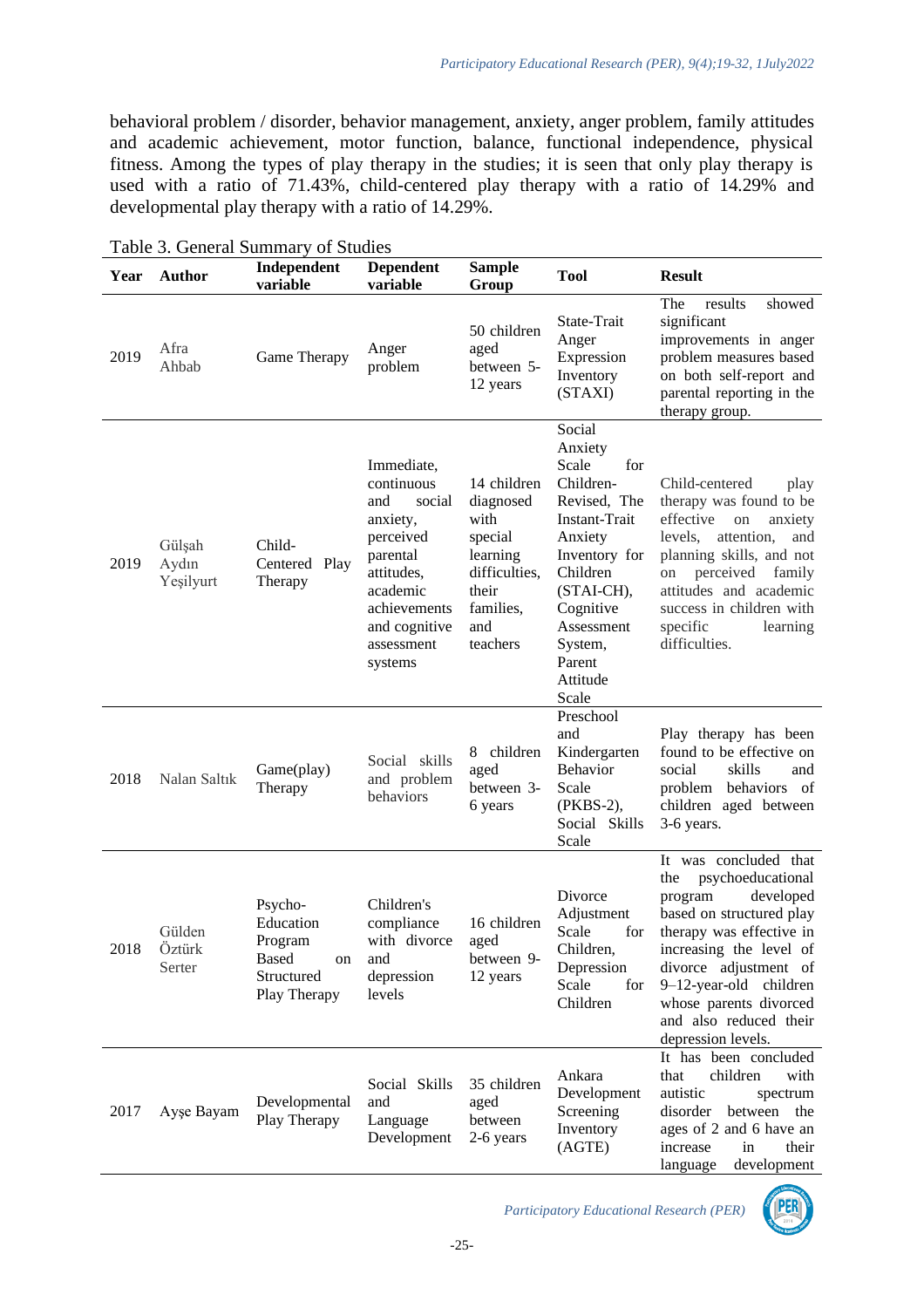behavioral problem / disorder, behavior management, anxiety, anger problem, family attitudes and academic achievement, motor function, balance, functional independence, physical fitness. Among the types of play therapy in the studies; it is seen that only play therapy is used with a ratio of 71.43%, child-centered play therapy with a ratio of 14.29% and developmental play therapy with a ratio of 14.29%.

| Year | <b>Author</b>                | Independent<br>variable                                                             | <b>Dependent</b><br>variable                                                                                                                                       | <b>Sample</b><br>Group                                                                                            | <b>Tool</b>                                                                                                                                                                                                | <b>Result</b>                                                                                                                                                                                                                                                                             |
|------|------------------------------|-------------------------------------------------------------------------------------|--------------------------------------------------------------------------------------------------------------------------------------------------------------------|-------------------------------------------------------------------------------------------------------------------|------------------------------------------------------------------------------------------------------------------------------------------------------------------------------------------------------------|-------------------------------------------------------------------------------------------------------------------------------------------------------------------------------------------------------------------------------------------------------------------------------------------|
| 2019 | Afra<br>Ahbab                | Game Therapy                                                                        | Anger<br>problem                                                                                                                                                   | 50 children<br>aged<br>between 5-<br>12 years                                                                     | State-Trait<br>Anger<br>Expression<br>Inventory<br>(STAXI)                                                                                                                                                 | results<br>showed<br>The<br>significant<br>improvements in anger<br>problem measures based<br>on both self-report and<br>parental reporting in the<br>therapy group.                                                                                                                      |
| 2019 | Gülşah<br>Aydın<br>Yeşilyurt | Child-<br>Centered Play<br>Therapy                                                  | Immediate,<br>continuous<br>and<br>social<br>anxiety,<br>perceived<br>parental<br>attitudes,<br>academic<br>achievements<br>and cognitive<br>assessment<br>systems | 14 children<br>diagnosed<br>with<br>special<br>learning<br>difficulties,<br>their<br>families,<br>and<br>teachers | Social<br>Anxiety<br>Scale<br>for<br>Children-<br>Revised, The<br>Instant-Trait<br>Anxiety<br>Inventory for<br>Children<br>(STAI-CH),<br>Cognitive<br>Assessment<br>System,<br>Parent<br>Attitude<br>Scale | Child-centered<br>play<br>therapy was found to be<br>effective<br>on<br>anxiety<br>attention,<br>levels,<br>and<br>planning skills, and not<br>perceived<br>family<br>on<br>attitudes and academic<br>success in children with<br>specific<br>learning<br>difficulties.                   |
| 2018 | Nalan Saltık                 | Game(play)<br>Therapy                                                               | Social skills<br>and problem<br>behaviors                                                                                                                          | 8 children<br>aged<br>between 3-<br>6 years                                                                       | Preschool<br>and<br>Kindergarten<br><b>Behavior</b><br>Scale<br>(PKBS-2),<br>Social Skills<br>Scale                                                                                                        | Play therapy has been<br>found to be effective on<br>social<br>skills<br>and<br>behaviors of<br>problem<br>children aged between<br>3-6 years.                                                                                                                                            |
| 2018 | Gülden<br>Öztürk<br>Serter   | Psycho-<br>Education<br>Program<br><b>Based</b><br>on<br>Structured<br>Play Therapy | Children's<br>compliance<br>with divorce<br>and<br>depression<br>levels                                                                                            | 16 children<br>aged<br>between 9-<br>12 years                                                                     | Divorce<br>Adjustment<br>Scale<br>for<br>Children,<br>Depression<br>Scale<br>for<br>Children                                                                                                               | It was concluded that<br>the<br>psychoeducational<br>program<br>developed<br>based on structured play<br>therapy was effective in<br>increasing the level of<br>divorce adjustment of<br>9-12-year-old children<br>whose parents divorced<br>and also reduced their<br>depression levels. |
| 2017 | Ayşe Bayam                   | Developmental<br>Play Therapy                                                       | Social Skills<br>and<br>Language<br>Development                                                                                                                    | 35 children<br>aged<br>between<br>2-6 years                                                                       | Ankara<br>Development<br>Screening<br>Inventory<br>(AGTE)                                                                                                                                                  | It has been concluded<br>that<br>children<br>with<br>autistic<br>spectrum<br>disorder<br>between the<br>ages of 2 and 6 have an<br>increase<br>in<br>their<br>development<br>language                                                                                                     |

Table 3. General Summary of Studies

*Participatory Educational Research (PER)*

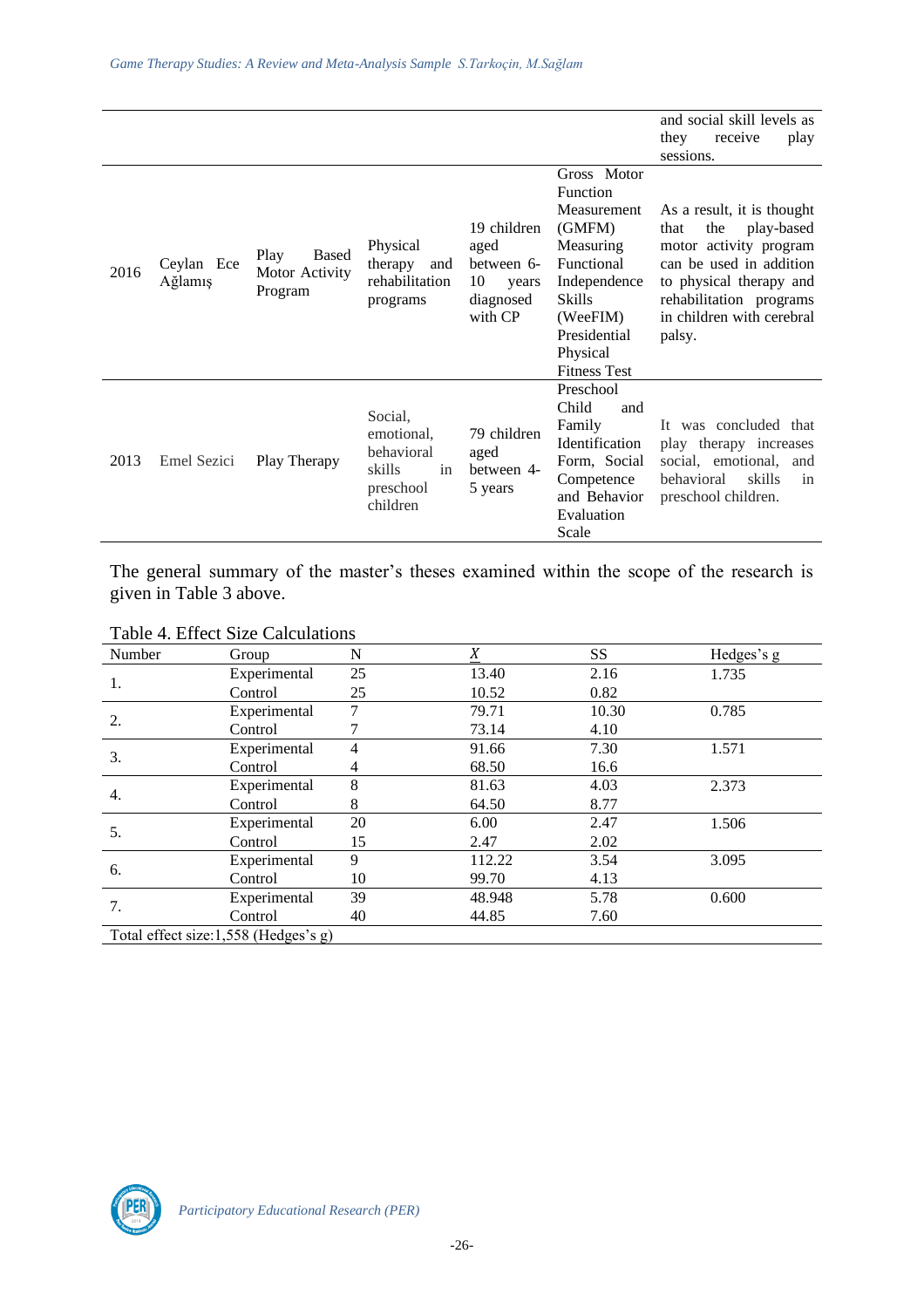|      |                       |                                                   |                                                                                                                                      |                                              |                                                                                                                                                                             | and social skill levels as<br>they<br>receive<br>play<br>sessions.                                                                                                                                        |
|------|-----------------------|---------------------------------------------------|--------------------------------------------------------------------------------------------------------------------------------------|----------------------------------------------|-----------------------------------------------------------------------------------------------------------------------------------------------------------------------------|-----------------------------------------------------------------------------------------------------------------------------------------------------------------------------------------------------------|
| 2016 | Ceylan Ece<br>Ağlamış | <b>Based</b><br>Play<br>Motor Activity<br>Program | 19 children<br>Physical<br>aged<br>therapy<br>and<br>between 6-<br>rehabilitation<br>10<br>years<br>diagnosed<br>programs<br>with CP |                                              | Gross Motor<br>Function<br>Measurement<br>(GMFM)<br>Measuring<br>Functional<br>Independence<br><b>Skills</b><br>(WeeFIM)<br>Presidential<br>Physical<br><b>Fitness Test</b> | As a result, it is thought<br>the<br>play-based<br>that<br>motor activity program<br>can be used in addition<br>to physical therapy and<br>rehabilitation programs<br>in children with cerebral<br>palsy. |
| 2013 | Emel Sezici           | Play Therapy                                      | Social,<br>emotional,<br>behavioral<br>in<br>skills<br>preschool<br>children                                                         | 79 children<br>aged<br>between 4-<br>5 years | Preschool<br>Child<br>and<br>Family<br>Identification<br>Form, Social<br>Competence<br>and Behavior<br>Evaluation<br>Scale                                                  | It was concluded that<br>play therapy increases<br>social, emotional,<br>and<br>skills<br>behavioral<br>in<br>preschool children.                                                                         |

The general summary of the master's theses examined within the scope of the research is given in Table 3 above.

|  |  | Table 4. Effect Size Calculations |
|--|--|-----------------------------------|
|--|--|-----------------------------------|

| Number                               | Group        | N  | X      | SS    | Hedges's g |  |  |  |
|--------------------------------------|--------------|----|--------|-------|------------|--|--|--|
|                                      | Experimental | 25 | 13.40  | 2.16  | 1.735      |  |  |  |
| 1.                                   | Control      | 25 | 10.52  | 0.82  |            |  |  |  |
| 2.                                   | Experimental | 7  | 79.71  | 10.30 | 0.785      |  |  |  |
|                                      | Control      |    | 73.14  | 4.10  |            |  |  |  |
|                                      | Experimental | 4  | 91.66  | 7.30  | 1.571      |  |  |  |
| 3.                                   | Control      | 4  | 68.50  | 16.6  |            |  |  |  |
| 4.                                   | Experimental | 8  | 81.63  | 4.03  | 2.373      |  |  |  |
|                                      | Control      | 8  | 64.50  | 8.77  |            |  |  |  |
|                                      | Experimental | 20 | 6.00   | 2.47  | 1.506      |  |  |  |
| 5.                                   | Control      | 15 | 2.47   | 2.02  |            |  |  |  |
|                                      | Experimental | 9  | 112.22 | 3.54  | 3.095      |  |  |  |
| 6.                                   | Control      | 10 | 99.70  | 4.13  |            |  |  |  |
| 7.                                   | Experimental | 39 | 48.948 | 5.78  | 0.600      |  |  |  |
|                                      | Control      | 40 | 44.85  | 7.60  |            |  |  |  |
| Total effect size:1,558 (Hedges's g) |              |    |        |       |            |  |  |  |

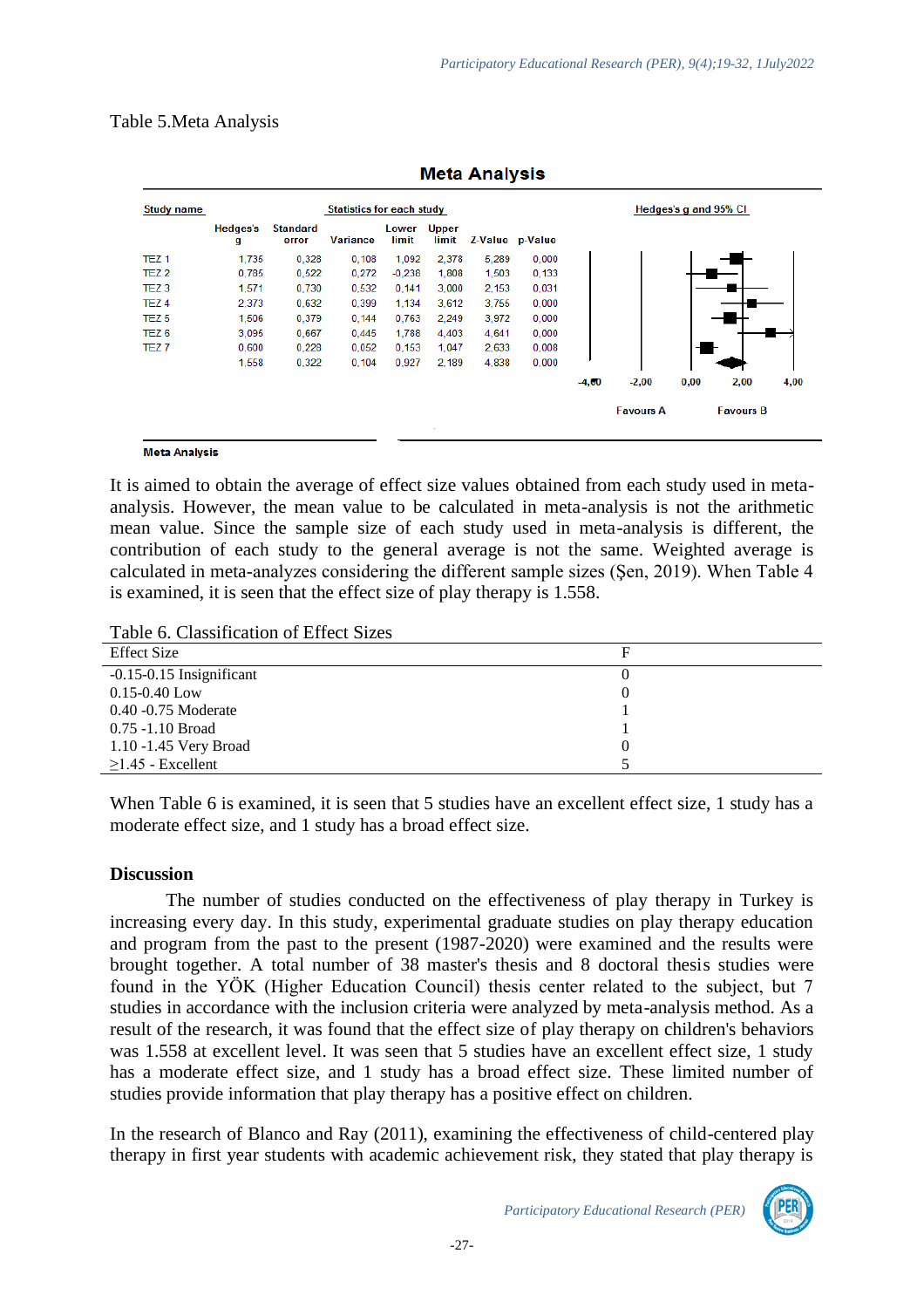#### Table 5.Meta Analysis

| <b>Study name</b> | <b>Statistics for each study</b> |                          |                 |                |                       |       |                 |         | Hedges's g and 95% CI |      |                  |      |
|-------------------|----------------------------------|--------------------------|-----------------|----------------|-----------------------|-------|-----------------|---------|-----------------------|------|------------------|------|
|                   | Hedges's<br>g                    | <b>Standard</b><br>error | <b>Variance</b> | Lower<br>limit | <b>Upper</b><br>limit |       | Z-Value p-Value |         |                       |      |                  |      |
| TEZ <sub>1</sub>  | 1,735                            | 0,328                    | 0,108           | 1,092          | 2.378                 | 5,289 | 0,000           |         |                       |      |                  |      |
| TEZ <sub>2</sub>  | 0.785                            | 0,522                    | 0,272           | $-0.238$       | 1,808                 | 1,503 | 0,133           |         |                       |      |                  |      |
| TEZ <sub>3</sub>  | 1,571                            | 0,730                    | 0,532           | 0,141          | 3,000                 | 2,153 | 0,031           |         |                       |      |                  |      |
| TEZ <sub>4</sub>  | 2,373                            | 0,632                    | 0,399           | 1,134          | 3,612                 | 3,755 | 0,000           |         |                       |      |                  |      |
| TEZ <sub>5</sub>  | 1,506                            | 0,379                    | 0,144           | 0,763          | 2,249                 | 3,972 | 0,000           |         |                       |      |                  |      |
| TEZ <sub>6</sub>  | 3.095                            | 0.667                    | 0.445           | 1,788          | 4.403                 | 4.641 | 0,000           |         |                       |      |                  |      |
| TEZ <sub>7</sub>  | 0,600                            | 0,228                    | 0,052           | 0,153          | 1,047                 | 2,633 | 0,008           |         |                       |      |                  |      |
|                   | 1,558                            | 0,322                    | 0,104           | 0,927          | 2,189                 | 4,838 | 0,000           |         |                       |      |                  |      |
|                   |                                  |                          |                 |                |                       |       |                 | $-4,00$ | $-2,00$               | 0,00 | 2,00             | 4,00 |
|                   |                                  |                          |                 |                |                       |       |                 |         | <b>Favours A</b>      |      | <b>Favours B</b> |      |

**Meta Analysis** 

#### **Meta Analysis**

It is aimed to obtain the average of effect size values obtained from each study used in metaanalysis. However, the mean value to be calculated in meta-analysis is not the arithmetic mean value. Since the sample size of each study used in meta-analysis is different, the contribution of each study to the general average is not the same. Weighted average is calculated in meta-analyzes considering the different sample sizes (Şen, 2019). When Table 4 is examined, it is seen that the effect size of play therapy is 1.558.

Table 6. Classification of Effect Sizes

| <b>Effect Size</b>           |  |
|------------------------------|--|
| $-0.15 - 0.15$ Insignificant |  |
| $0.15 - 0.40$ Low            |  |
| 0.40 -0.75 Moderate          |  |
| $0.75 - 1.10$ Broad          |  |
| 1.10 -1.45 Very Broad        |  |
| $\geq$ 1.45 - Excellent      |  |

When Table 6 is examined, it is seen that 5 studies have an excellent effect size, 1 study has a moderate effect size, and 1 study has a broad effect size.

#### **Discussion**

The number of studies conducted on the effectiveness of play therapy in Turkey is increasing every day. In this study, experimental graduate studies on play therapy education and program from the past to the present (1987-2020) were examined and the results were brought together. A total number of 38 master's thesis and 8 doctoral thesis studies were found in the YÖK (Higher Education Council) thesis center related to the subject, but 7 studies in accordance with the inclusion criteria were analyzed by meta-analysis method. As a result of the research, it was found that the effect size of play therapy on children's behaviors was 1.558 at excellent level. It was seen that 5 studies have an excellent effect size, 1 study has a moderate effect size, and 1 study has a broad effect size. These limited number of studies provide information that play therapy has a positive effect on children.

In the research of Blanco and Ray (2011), examining the effectiveness of child-centered play therapy in first year students with academic achievement risk, they stated that play therapy is

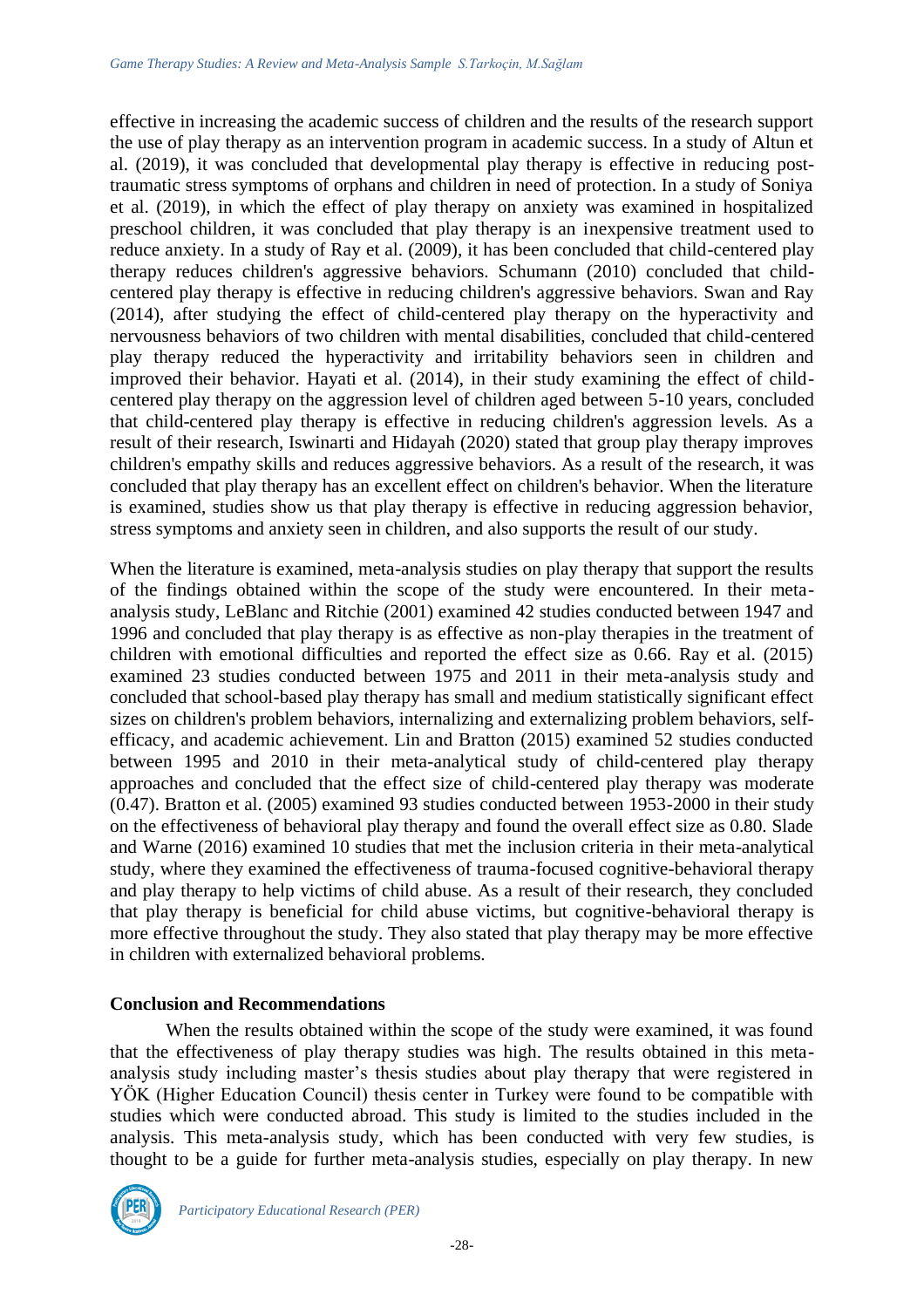effective in increasing the academic success of children and the results of the research support the use of play therapy as an intervention program in academic success. In a study of Altun et al. (2019), it was concluded that developmental play therapy is effective in reducing posttraumatic stress symptoms of orphans and children in need of protection. In a study of Soniya et al. (2019), in which the effect of play therapy on anxiety was examined in hospitalized preschool children, it was concluded that play therapy is an inexpensive treatment used to reduce anxiety. In a study of Ray et al. (2009), it has been concluded that child-centered play therapy reduces children's aggressive behaviors. Schumann (2010) concluded that childcentered play therapy is effective in reducing children's aggressive behaviors. Swan and Ray (2014), after studying the effect of child-centered play therapy on the hyperactivity and nervousness behaviors of two children with mental disabilities, concluded that child-centered play therapy reduced the hyperactivity and irritability behaviors seen in children and improved their behavior. Hayati et al. (2014), in their study examining the effect of childcentered play therapy on the aggression level of children aged between 5-10 years, concluded that child-centered play therapy is effective in reducing children's aggression levels. As a result of their research, Iswinarti and Hidayah (2020) stated that group play therapy improves children's empathy skills and reduces aggressive behaviors. As a result of the research, it was concluded that play therapy has an excellent effect on children's behavior. When the literature is examined, studies show us that play therapy is effective in reducing aggression behavior, stress symptoms and anxiety seen in children, and also supports the result of our study.

When the literature is examined, meta-analysis studies on play therapy that support the results of the findings obtained within the scope of the study were encountered. In their metaanalysis study, LeBlanc and Ritchie (2001) examined 42 studies conducted between 1947 and 1996 and concluded that play therapy is as effective as non-play therapies in the treatment of children with emotional difficulties and reported the effect size as 0.66. Ray et al. (2015) examined 23 studies conducted between 1975 and 2011 in their meta-analysis study and concluded that school-based play therapy has small and medium statistically significant effect sizes on children's problem behaviors, internalizing and externalizing problem behaviors, selfefficacy, and academic achievement. Lin and Bratton (2015) examined 52 studies conducted between 1995 and 2010 in their meta-analytical study of child-centered play therapy approaches and concluded that the effect size of child-centered play therapy was moderate (0.47). Bratton et al. (2005) examined 93 studies conducted between 1953-2000 in their study on the effectiveness of behavioral play therapy and found the overall effect size as 0.80. Slade and Warne (2016) examined 10 studies that met the inclusion criteria in their meta-analytical study, where they examined the effectiveness of trauma-focused cognitive-behavioral therapy and play therapy to help victims of child abuse. As a result of their research, they concluded that play therapy is beneficial for child abuse victims, but cognitive-behavioral therapy is more effective throughout the study. They also stated that play therapy may be more effective in children with externalized behavioral problems.

### **Conclusion and Recommendations**

When the results obtained within the scope of the study were examined, it was found that the effectiveness of play therapy studies was high. The results obtained in this metaanalysis study including master's thesis studies about play therapy that were registered in YÖK (Higher Education Council) thesis center in Turkey were found to be compatible with studies which were conducted abroad. This study is limited to the studies included in the analysis. This meta-analysis study, which has been conducted with very few studies, is thought to be a guide for further meta-analysis studies, especially on play therapy. In new

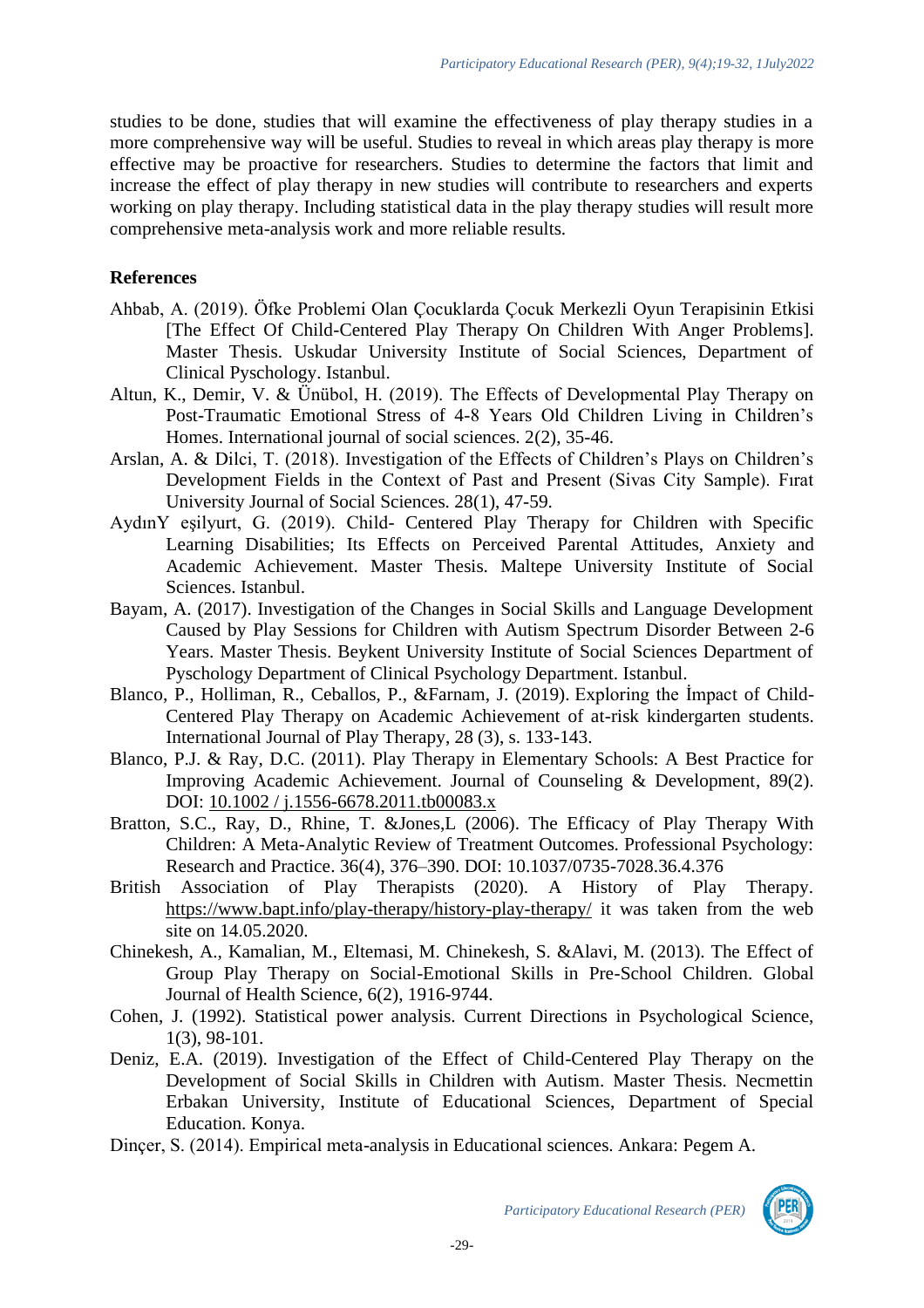studies to be done, studies that will examine the effectiveness of play therapy studies in a more comprehensive way will be useful. Studies to reveal in which areas play therapy is more effective may be proactive for researchers. Studies to determine the factors that limit and increase the effect of play therapy in new studies will contribute to researchers and experts working on play therapy. Including statistical data in the play therapy studies will result more comprehensive meta-analysis work and more reliable results.

### **References**

- Ahbab, A. (2019). Öfke Problemi Olan Çocuklarda Çocuk Merkezli Oyun Terapisinin Etkisi [The Effect Of Child-Centered Play Therapy On Children With Anger Problems]. Master Thesis. Uskudar University Institute of Social Sciences, Department of Clinical Pyschology. Istanbul.
- Altun, K., Demir, V. & Ünübol, H. (2019). The Effects of Developmental Play Therapy on Post-Traumatic Emotional Stress of 4-8 Years Old Children Living in Children's Homes. International journal of social sciences. 2(2), 35-46.
- Arslan, A. & Dilci, T. (2018). Investigation of the Effects of Children's Plays on Children's Development Fields in the Context of Past and Present (Sivas City Sample). Fırat University Journal of Social Sciences. 28(1), 47-59.
- AydınY eşilyurt, G. (2019). Child- Centered Play Therapy for Children with Specific Learning Disabilities; Its Effects on Perceived Parental Attitudes, Anxiety and Academic Achievement. Master Thesis. Maltepe University Institute of Social Sciences. Istanbul.
- Bayam, A. (2017). Investigation of the Changes in Social Skills and Language Development Caused by Play Sessions for Children with Autism Spectrum Disorder Between 2-6 Years. Master Thesis. Beykent University Institute of Social Sciences Department of Pyschology Department of Clinical Psychology Department. Istanbul.
- Blanco, P., Holliman, R., Ceballos, P., &Farnam, J. (2019). Exploring the İmpact of Child-Centered Play Therapy on Academic Achievement of at-risk kindergarten students. International Journal of Play Therapy, 28 (3), s. 133-143.
- Blanco, P.J. & Ray, D.C. (2011). Play Therapy in Elementary Schools: A Best Practice for Improving Academic Achievement. Journal of Counseling & Development, 89(2). DOI: [10.1002 / j.1556-6678.2011.tb00083.x](https://www.researchgate.net/deref/http%3A%2F%2Fdx.doi.org%2F10.1002%2Fj.1556-6678.2011.tb00083.x)
- Bratton, S.C., Ray, D., Rhine, T. &Jones,L (2006). The Efficacy of Play Therapy With Children: A Meta-Analytic Review of Treatment Outcomes. Professional Psychology: Research and Practice. 36(4), 376–390. DOI: 10.1037/0735-7028.36.4.376
- British Association of Play Therapists (2020). A History of Play Therapy. <https://www.bapt.info/play-therapy/history-play-therapy/> it was taken from the web site on 14.05.2020.
- Chinekesh, A., Kamalian, M., Eltemasi, M. Chinekesh, S. &Alavi, M. (2013). The Effect of Group Play Therapy on Social-Emotional Skills in Pre-School Children. Global Journal of Health Science, 6(2), 1916-9744.
- Cohen, J. (1992). Statistical power analysis. Current Directions in Psychological Science, 1(3), 98-101.
- Deniz, E.A. (2019). Investigation of the Effect of Child-Centered Play Therapy on the Development of Social Skills in Children with Autism. Master Thesis. Necmettin Erbakan University, Institute of Educational Sciences, Department of Special Education. Konya.
- Dinçer, S. (2014). Empirical meta-analysis in Educational sciences. Ankara: Pegem A.

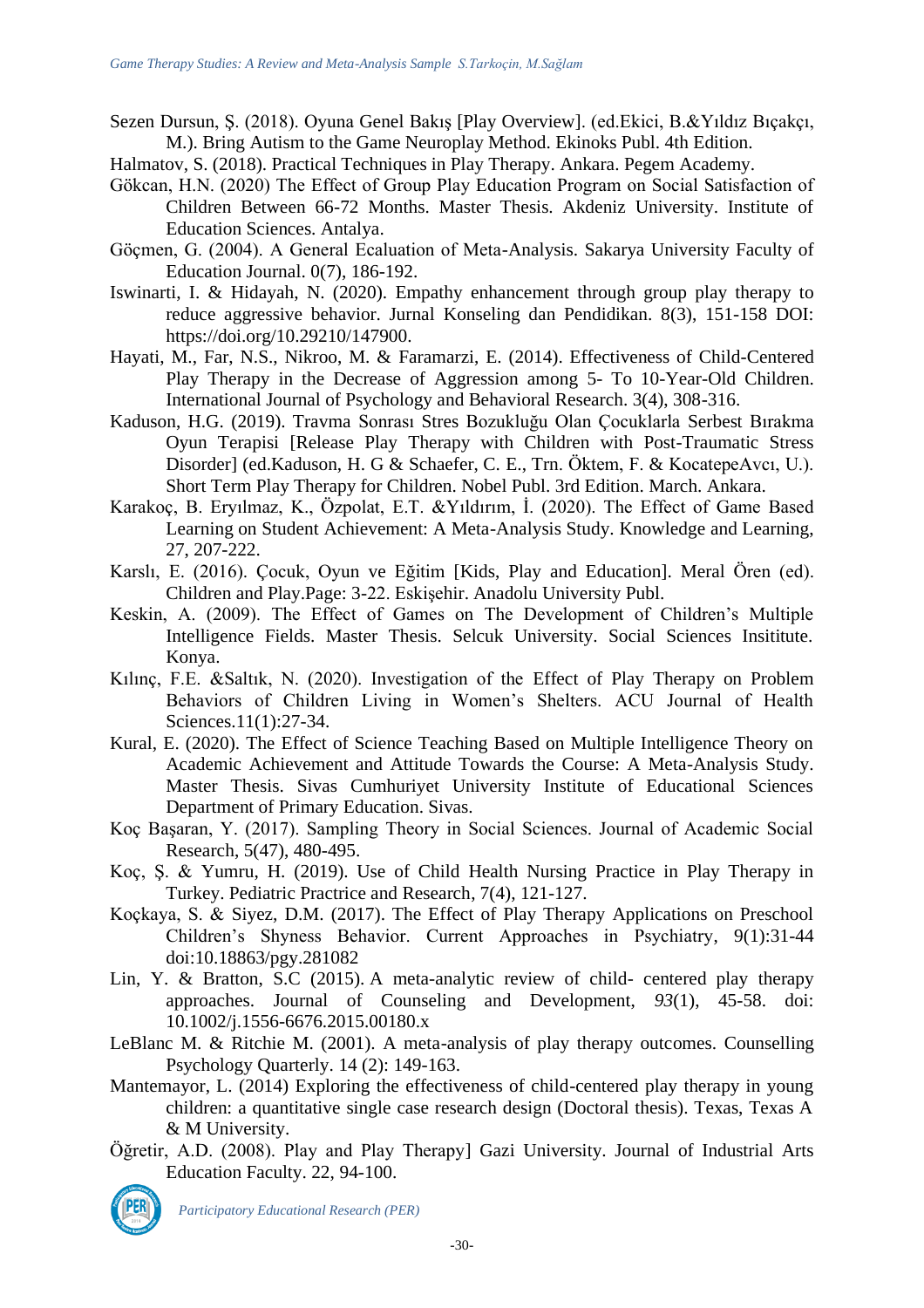- Sezen Dursun, Ş. (2018). Oyuna Genel Bakış [Play Overview]. (ed.Ekici, B.&Yıldız Bıçakçı, M.). Bring Autism to the Game Neuroplay Method. Ekinoks Publ. 4th Edition.
- Halmatov, S. (2018). Practical Techniques in Play Therapy. Ankara. Pegem Academy.
- Gökcan, H.N. (2020) The Effect of Group Play Education Program on Social Satisfaction of Children Between 66-72 Months. Master Thesis. Akdeniz University. Institute of Education Sciences. Antalya.
- Göçmen, G. (2004). A General Ecaluation of Meta-Analysis. Sakarya University Faculty of Education Journal. 0(7), 186-192.
- Iswinarti, I. & Hidayah, N. (2020). Empathy enhancement through group play therapy to reduce aggressive behavior. Jurnal Konseling dan Pendidikan. 8(3), 151-158 DOI: https://doi.org/10.29210/147900.
- Hayati, M., Far, N.S., Nikroo, M. & Faramarzi, E. (2014). Effectiveness of Child-Centered Play Therapy in the Decrease of Aggression among 5- To 10-Year-Old Children. International Journal of Psychology and Behavioral Research. 3(4), 308-316.
- Kaduson, H.G. (2019). Travma Sonrası Stres Bozukluğu Olan Çocuklarla Serbest Bırakma Oyun Terapisi [Release Play Therapy with Children with Post-Traumatic Stress Disorder] (ed.Kaduson, H. G & Schaefer, C. E., Trn. Öktem, F. & KocatepeAvcı, U.). Short Term Play Therapy for Children. Nobel Publ. 3rd Edition. March. Ankara.
- Karakoç, B. Eryılmaz, K., Özpolat, E.T. &Yıldırım, İ. (2020). The Effect of Game Based Learning on Student Achievement: A Meta-Analysis Study. Knowledge and Learning, 27, 207-222.
- Karslı, E. (2016). Çocuk, Oyun ve Eğitim [Kids, Play and Education]. Meral Ören (ed). Children and Play.Page: 3-22. Eskişehir. Anadolu University Publ.
- Keskin, A. (2009). The Effect of Games on The Development of Children's Multiple Intelligence Fields. Master Thesis. Selcuk University. Social Sciences Insititute. Konya.
- Kılınç, F.E. &Saltık, N. (2020). Investigation of the Effect of Play Therapy on Problem Behaviors of Children Living in Women's Shelters. ACU Journal of Health Sciences.11(1):27-34.
- Kural, E. (2020). The Effect of Science Teaching Based on Multiple Intelligence Theory on Academic Achievement and Attitude Towards the Course: A Meta-Analysis Study. Master Thesis. Sivas Cumhuriyet University Institute of Educational Sciences Department of Primary Education. Sivas.
- Koç Başaran, Y. (2017). Sampling Theory in Social Sciences. Journal of Academic Social Research, 5(47), 480-495.
- Koç, Ş. & Yumru, H. (2019). Use of Child Health Nursing Practice in Play Therapy in Turkey. Pediatric Practrice and Research, 7(4), 121-127.
- Koçkaya, S. & Siyez, D.M. (2017). The Effect of Play Therapy Applications on Preschool Children's Shyness Behavior. Current Approaches in Psychiatry, 9(1):31-44 doi:10.18863/pgy.281082
- Lin, Y. & Bratton, S.C (2015). A meta-analytic review of child- centered play therapy approaches. Journal of Counseling and Development, *93*(1), 45-58. doi: 10.1002/j.1556-6676.2015.00180.x
- LeBlanc M. & Ritchie M. (2001). A meta-analysis of play therapy outcomes. Counselling Psychology Quarterly. 14 (2): 149-163.
- Mantemayor, L. (2014) Exploring the effectiveness of child-centered play therapy in young children: a quantitative single case research design (Doctoral thesis). Texas, Texas A & M University.
- Öğretir, A.D. (2008). Play and Play Therapy] Gazi University. Journal of Industrial Arts Education Faculty. 22, 94-100.

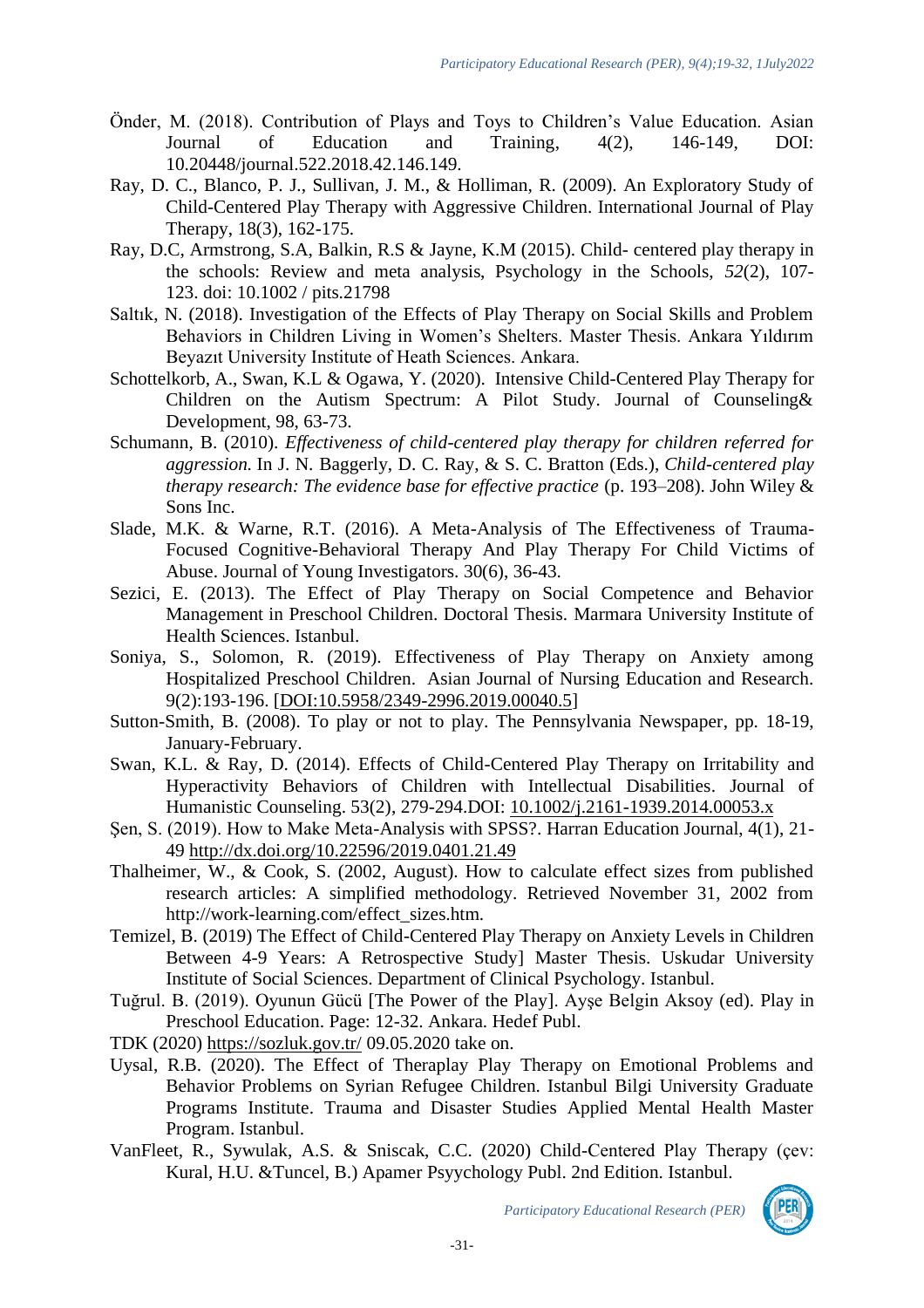- Önder, M. (2018). Contribution of Plays and Toys to Children's Value Education. Asian Journal of Education and Training, 4(2), 146-149, DOI: 10.20448/journal.522.2018.42.146.149.
- Ray, D. C., Blanco, P. J., Sullivan, J. M., & Holliman, R. (2009). An Exploratory Study of Child-Centered Play Therapy with Aggressive Children. International Journal of Play Therapy, 18(3), 162-175.
- Ray, D.C, Armstrong, S.A, Balkin, R.S & Jayne, K.M (2015). Child- centered play therapy in the schools: Review and meta analysis, Psychology in the Schools, *52*(2), 107- 123. doi: 10.1002 / pits.21798
- Saltık, N. (2018). Investigation of the Effects of Play Therapy on Social Skills and Problem Behaviors in Children Living in Women's Shelters. Master Thesis. Ankara Yıldırım Beyazıt University Institute of Heath Sciences. Ankara.
- Schottelkorb, A., Swan, K.L & Ogawa, Y. (2020). Intensive Child-Centered Play Therapy for Children on the Autism Spectrum: A Pilot Study. Journal of Counseling& Development, 98, 63-73.
- Schumann, B. (2010). *Effectiveness of child-centered play therapy for children referred for aggression.* In J. N. Baggerly, D. C. Ray, & S. C. Bratton (Eds.), *Child-centered play therapy research: The evidence base for effective practice* (p. 193–208). John Wiley & Sons Inc.
- Slade, M.K. & Warne, R.T. (2016). A Meta-Analysis of The Effectiveness of Trauma-Focused Cognitive-Behavioral Therapy And Play Therapy For Child Victims of Abuse. Journal of Young Investigators. 30(6), 36-43.
- Sezici, E. (2013). The Effect of Play Therapy on Social Competence and Behavior Management in Preschool Children. Doctoral Thesis. Marmara University Institute of Health Sciences. Istanbul.
- Soniya, S., Solomon, R. (2019). Effectiveness of Play Therapy on Anxiety among Hospitalized Preschool Children. Asian Journal of Nursing Education and Research. 9(2):193-196. [\[DOI:10.5958/2349-2996.2019.00040.5\]](https://doi.org/10.5958/2349-2996.2019.00040.5)
- Sutton-Smith, B. (2008). To play or not to play. The Pennsylvania Newspaper, pp. 18-19, January-February.
- Swan, K.L. & Ray, D. (2014). Effects of Child-Centered Play Therapy on Irritability and Hyperactivity Behaviors of Children with Intellectual Disabilities. Journal of Humanistic Counseling. 53(2), 279-294.DOI: [10.1002/j.2161-1939.2014.00053.x](https://www.researchgate.net/deref/http%3A%2F%2Fdx.doi.org%2F10.1002%2Fj.2161-1939.2014.00053.x)
- Şen, S. (2019). How to Make Meta-Analysis with SPSS?. Harran Education Journal, 4(1), 21- 49<http://dx.doi.org/10.22596/2019.0401.21.49>
- Thalheimer, W., & Cook, S. (2002, August). How to calculate effect sizes from published research articles: A simplified methodology. Retrieved November 31, 2002 from http://work-learning.com/effect\_sizes.htm.
- Temizel, B. (2019) The Effect of Child-Centered Play Therapy on Anxiety Levels in Children Between 4-9 Years: A Retrospective Study] Master Thesis. Uskudar University Institute of Social Sciences. Department of Clinical Psychology. Istanbul.
- Tuğrul. B. (2019). Oyunun Gücü [The Power of the Play]. Ayşe Belgin Aksoy (ed). Play in Preschool Education. Page: 12-32. Ankara. Hedef Publ.
- TDK (2020)<https://sozluk.gov.tr/> 09.05.2020 take on.
- Uysal, R.B. (2020). The Effect of Theraplay Play Therapy on Emotional Problems and Behavior Problems on Syrian Refugee Children. Istanbul Bilgi University Graduate Programs Institute. Trauma and Disaster Studies Applied Mental Health Master Program. Istanbul.
- VanFleet, R., Sywulak, A.S. & Sniscak, C.C. (2020) Child-Centered Play Therapy (çev: Kural, H.U. &Tuncel, B.) Apamer Psyychology Publ. 2nd Edition. Istanbul.

*Participatory Educational Research (PER)*